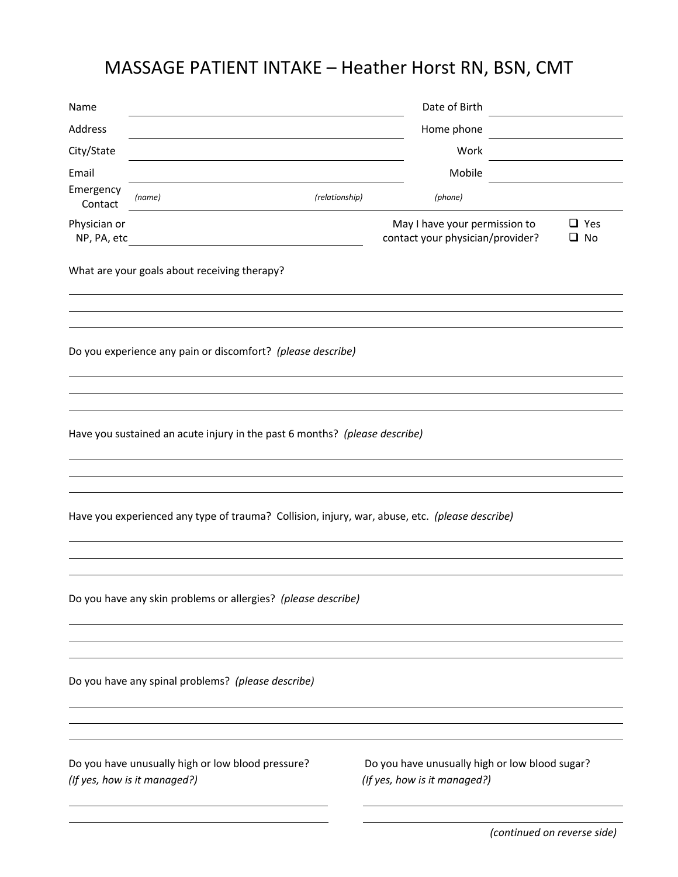## MASSAGE PATIENT INTAKE – Heather Horst RN, BSN, CMT

| Name                                                                                           | Date of Birth                                                                     |                |                                                                                |                            |  |  |  |
|------------------------------------------------------------------------------------------------|-----------------------------------------------------------------------------------|----------------|--------------------------------------------------------------------------------|----------------------------|--|--|--|
| Address                                                                                        | Home phone                                                                        |                |                                                                                |                            |  |  |  |
| City/State                                                                                     |                                                                                   |                | Work                                                                           |                            |  |  |  |
| Email                                                                                          |                                                                                   |                | Mobile                                                                         |                            |  |  |  |
| Emergency<br>Contact                                                                           | (name)                                                                            | (relationship) | (phone)                                                                        |                            |  |  |  |
| Physician or<br>NP, PA, etc                                                                    |                                                                                   |                | May I have your permission to<br>contact your physician/provider?              | $\Box$ Yes<br>$\square$ No |  |  |  |
|                                                                                                | What are your goals about receiving therapy?                                      |                |                                                                                |                            |  |  |  |
|                                                                                                | Do you experience any pain or discomfort? (please describe)                       |                |                                                                                |                            |  |  |  |
|                                                                                                | Have you sustained an acute injury in the past 6 months? (please describe)        |                |                                                                                |                            |  |  |  |
| Have you experienced any type of trauma? Collision, injury, war, abuse, etc. (please describe) |                                                                                   |                |                                                                                |                            |  |  |  |
|                                                                                                | Do you have any skin problems or allergies? (please describe)                     |                |                                                                                |                            |  |  |  |
|                                                                                                | Do you have any spinal problems? (please describe)                                |                |                                                                                |                            |  |  |  |
|                                                                                                | Do you have unusually high or low blood pressure?<br>(If yes, how is it managed?) |                | Do you have unusually high or low blood sugar?<br>(If yes, how is it managed?) |                            |  |  |  |